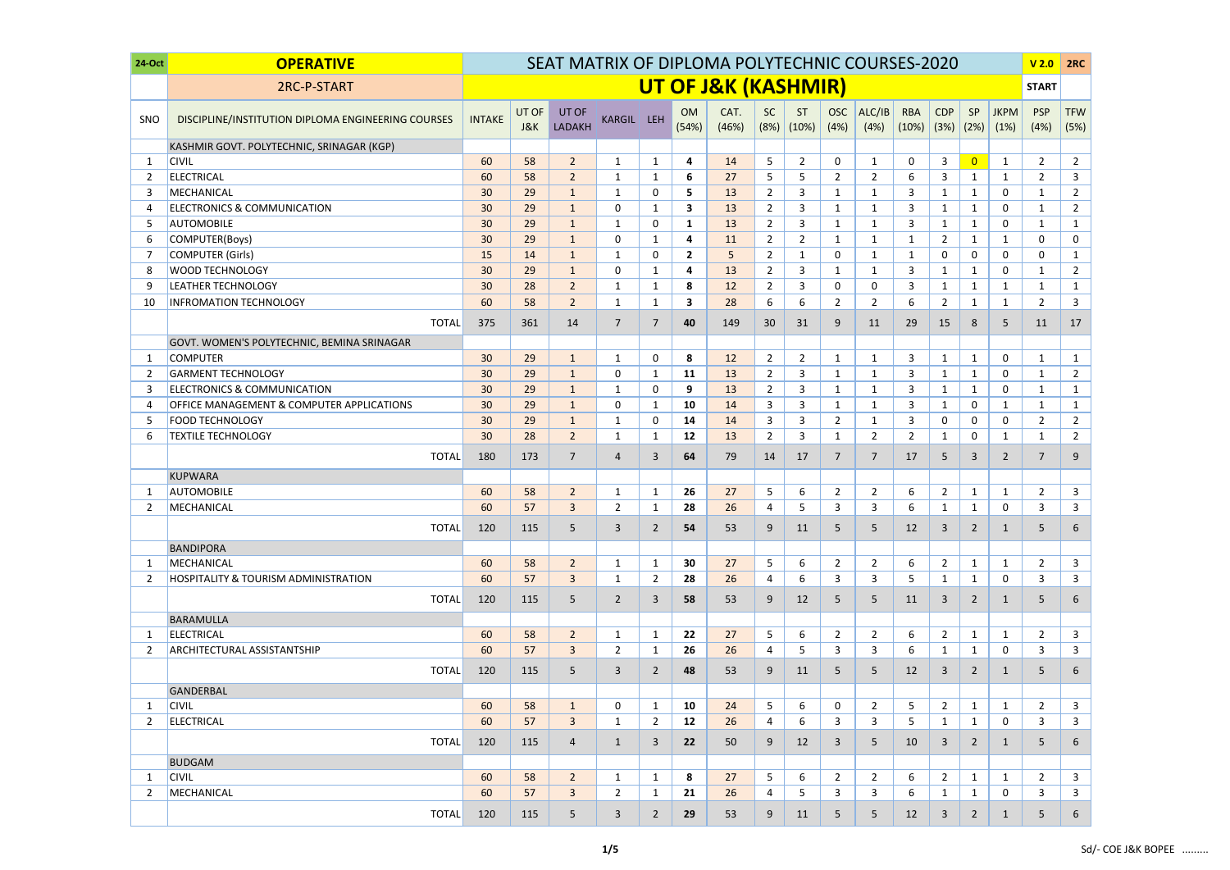| 24-Oct         | <b>OPERATIVE</b>                                   | SEAT MATRIX OF DIPLOMA POLYTECHNIC COURSES-2020 |                         |                        |                |                |                    |                                |                   |                |                    |                |                     |                    |                | V <sub>2.0</sub>    | 2RC                |                    |
|----------------|----------------------------------------------------|-------------------------------------------------|-------------------------|------------------------|----------------|----------------|--------------------|--------------------------------|-------------------|----------------|--------------------|----------------|---------------------|--------------------|----------------|---------------------|--------------------|--------------------|
|                | 2RC-P-START                                        |                                                 |                         |                        |                |                |                    | <b>UT OF J&amp;K (KASHMIR)</b> |                   |                |                    |                |                     |                    |                |                     | <b>START</b>       |                    |
| SNO            | DISCIPLINE/INSTITUTION DIPLOMA ENGINEERING COURSES | <b>INTAKE</b>                                   | UT OF<br><b>J&amp;K</b> | UT OF<br><b>LADAKH</b> | KARGIL LEH     |                | <b>OM</b><br>(54%) | CAT.<br>(46%)                  | <b>SC</b><br>(8%) | ST<br>(10%)    | <b>OSC</b><br>(4%) | ALC/IB<br>(4%) | <b>RBA</b><br>(10%) | <b>CDP</b><br>(3%) | SP<br>(2%)     | <b>JKPM</b><br>(1%) | <b>PSP</b><br>(4%) | <b>TFW</b><br>(5%) |
|                | KASHMIR GOVT. POLYTECHNIC, SRINAGAR (KGP)          |                                                 |                         |                        |                |                |                    |                                |                   |                |                    |                |                     |                    |                |                     |                    |                    |
| $\mathbf 1$    | <b>CIVIL</b>                                       | 60                                              | 58                      | $\overline{2}$         | 1              | $\mathbf{1}$   | 4                  | 14                             | 5                 | $\overline{2}$ | $\mathbf 0$        | $\mathbf{1}$   | 0                   | $\mathsf{3}$       | $\overline{0}$ | $\mathbf{1}$        | $\overline{2}$     | $\overline{2}$     |
| 2              | <b>ELECTRICAL</b>                                  | 60                                              | 58                      | $\overline{2}$         | 1              | 1              | 6                  | 27                             | 5                 | 5              | $\overline{2}$     | $\overline{2}$ | 6                   | 3                  | $\mathbf{1}$   | 1                   | $\overline{2}$     | $\mathbf{3}$       |
| 3              | MECHANICAL                                         | 30                                              | 29                      | $\mathbf{1}$           | 1              | 0              | 5                  | 13                             | 2                 | 3              | 1                  | 1              | 3                   | $\mathbf{1}$       | $\mathbf{1}$   | 0                   | $\mathbf{1}$       | $\overline{2}$     |
| 4              | <b>ELECTRONICS &amp; COMMUNICATION</b>             | 30                                              | 29                      | $\mathbf{1}$           | 0              | $\mathbf{1}$   | 3                  | 13                             | $\overline{2}$    | $\overline{3}$ | $\mathbf{1}$       | 1              | 3                   | 1                  | $\mathbf{1}$   | 0                   | 1                  | $\overline{2}$     |
| -5             | <b>AUTOMOBILE</b>                                  | 30                                              | 29                      | $\mathbf{1}$           | 1              | 0              | $\mathbf{1}$       | 13                             | $\overline{2}$    | 3              | 1                  | 1              | 3                   | $\mathbf{1}$       | $\mathbf{1}$   | 0                   | $\mathbf{1}$       | $\mathbf{1}$       |
| 6              | COMPUTER(Boys)                                     | 30                                              | 29                      | $\mathbf{1}$           | 0              | $\mathbf{1}$   | 4                  | 11                             | $\overline{2}$    | $\overline{2}$ | $\mathbf{1}$       | 1              | 1                   | $\overline{2}$     | $\mathbf{1}$   | $\mathbf{1}$        | 0                  | $\mathbf 0$        |
| 7              | <b>COMPUTER (Girls)</b>                            | 15                                              | 14                      | $\mathbf{1}$           | 1              | $\mathbf{0}$   | $\overline{2}$     | 5                              | $\overline{2}$    | $\mathbf{1}$   | $\Omega$           | 1              | 1                   | 0                  | $\mathbf{0}$   | 0                   | $\mathbf{0}$       | $\mathbf{1}$       |
| 8              | <b>WOOD TECHNOLOGY</b>                             | 30                                              | 29                      | $\mathbf{1}$           | $\mathbf{0}$   | $\mathbf{1}$   | $\overline{a}$     | 13                             | $\overline{2}$    | $\overline{3}$ | $\mathbf{1}$       | $\mathbf{1}$   | 3                   | $\mathbf{1}$       | $\mathbf{1}$   | 0                   | $\mathbf{1}$       | $\overline{2}$     |
| 9              | <b>LEATHER TECHNOLOGY</b>                          | 30                                              | 28                      | $\overline{2}$         | 1              | $\mathbf{1}$   | 8                  | 12                             | $\overline{2}$    | 3              | 0                  | 0              | 3                   | $\mathbf{1}$       | $\mathbf{1}$   | $\mathbf{1}$        | $\mathbf{1}$       | $\mathbf{1}$       |
| 10             | <b>INFROMATION TECHNOLOGY</b>                      | 60                                              | 58                      | $\overline{2}$         | $\mathbf{1}$   | $\mathbf{1}$   | 3                  | 28                             | 6                 | 6              | $\overline{2}$     | $\overline{2}$ | 6                   | $\overline{2}$     | $\mathbf{1}$   | $\mathbf{1}$        | $\overline{2}$     | $\mathbf{3}$       |
|                | <b>TOTAL</b>                                       | 375                                             | 361                     | 14                     | $\overline{7}$ | $\overline{7}$ | 40                 | 149                            | 30                | 31             | 9                  | 11             | 29                  | 15                 | 8              | 5                   | 11                 | 17                 |
|                | GOVT. WOMEN'S POLYTECHNIC, BEMINA SRINAGAR         |                                                 |                         |                        |                |                |                    |                                |                   |                |                    |                |                     |                    |                |                     |                    |                    |
| 1              | <b>COMPUTER</b>                                    | 30                                              | 29                      | $\mathbf{1}$           | $\mathbf{1}$   | $\mathbf 0$    | 8                  | 12                             | $\overline{2}$    | $\overline{2}$ | $\mathbf{1}$       | $\mathbf{1}$   | 3                   | $\mathbf{1}$       | $\mathbf{1}$   | 0                   | $\mathbf{1}$       | $\mathbf{1}$       |
| $\overline{2}$ | <b>GARMENT TECHNOLOGY</b>                          | 30                                              | 29                      | $\mathbf{1}$           | 0              | 1              | 11                 | 13                             | $\overline{2}$    | $\mathbf{3}$   | 1                  | 1              | 3                   | $\mathbf{1}$       | $\mathbf{1}$   | $\mathbf{0}$        | 1                  | $\overline{2}$     |
| 3              | <b>ELECTRONICS &amp; COMMUNICATION</b>             | 30                                              | 29                      | $\mathbf{1}$           | $\mathbf{1}$   | $\mathbf{0}$   | 9                  | 13                             | $\overline{2}$    | $\overline{3}$ | $\mathbf{1}$       | $\mathbf{1}$   | 3                   | $\mathbf{1}$       | $\mathbf{1}$   | 0                   | $\mathbf{1}$       | $\mathbf{1}$       |
| 4              | OFFICE MANAGEMENT & COMPUTER APPLICATIONS          | 30                                              | 29                      | $\mathbf{1}$           | 0              | 1              | 10                 | 14                             | 3                 | $\overline{3}$ | 1                  | $\mathbf{1}$   | 3                   | $\mathbf{1}$       | 0              | 1                   | $\mathbf{1}$       | $\mathbf{1}$       |
| 5              | <b>FOOD TECHNOLOGY</b>                             | 30                                              | 29                      | $\mathbf{1}$           | 1              | $\mathbf 0$    | 14                 | 14                             | $\overline{3}$    | $\overline{3}$ | $\overline{2}$     | $\mathbf{1}$   | 3                   | $\mathbf 0$        | 0              | 0                   | $\overline{2}$     | $\overline{2}$     |
| -6             | <b>TEXTILE TECHNOLOGY</b>                          | 30                                              | 28                      | $2^{\circ}$            | 1              | 1              | 12                 | 13                             | $\overline{2}$    | 3              | 1                  | $\overline{2}$ | $\overline{2}$      | $\mathbf{1}$       | 0              | 1                   | $\mathbf 1$        | $\overline{2}$     |
|                | <b>TOTAL</b>                                       | 180                                             | 173                     | $\overline{7}$         | 4              | 3              | 64                 | 79                             | 14                | 17             | $\overline{7}$     | $\overline{7}$ | 17                  | 5                  | 3              | $\overline{2}$      | 7                  | 9                  |
|                | <b>KUPWARA</b>                                     |                                                 |                         |                        |                |                |                    |                                |                   |                |                    |                |                     |                    |                |                     |                    |                    |
| -1             | <b>AUTOMOBILE</b>                                  | 60                                              | 58                      | $\overline{2}$         | 1              | $\mathbf{1}$   | 26                 | 27                             | 5                 | 6              | $\overline{2}$     | $\overline{2}$ | 6                   | $\overline{2}$     | $\mathbf{1}$   | 1                   | $\overline{2}$     | $\overline{3}$     |
| 2              | MECHANICAL                                         | 60                                              | 57                      | 3                      | $\overline{2}$ | $\mathbf{1}$   | 28                 | 26                             | 4                 | 5              | 3                  | 3              | 6                   | $\mathbf{1}$       | $\mathbf{1}$   | $\mathbf{0}$        | 3                  | $\overline{3}$     |
|                | <b>TOTAL</b>                                       | 120                                             | 115                     | 5                      | $\mathbf{3}$   | $\overline{2}$ | 54                 | 53                             | 9                 | 11             | 5                  | 5              | 12                  | $\overline{3}$     | $\overline{2}$ | 1                   | 5                  | 6                  |
|                | <b>BANDIPORA</b>                                   |                                                 |                         |                        |                |                |                    |                                |                   |                |                    |                |                     |                    |                |                     |                    |                    |
| -1             | MECHANICAL                                         | 60                                              | 58                      | 2 <sup>2</sup>         | $\mathbf{1}$   | 1              | 30                 | 27                             | 5                 | 6              | $\overline{2}$     | $\overline{2}$ | 6                   | $\overline{2}$     | $\mathbf{1}$   | $\mathbf{1}$        | $\overline{2}$     | $\overline{3}$     |
| 2              | <b>HOSPITALITY &amp; TOURISM ADMINISTRATION</b>    | 60                                              | 57                      | $\mathbf{3}$           | $\mathbf{1}$   | $\overline{2}$ | 28                 | 26                             | 4                 | 6              | 3                  | 3              | 5                   | $\mathbf{1}$       | $\mathbf{1}$   | 0                   | 3                  | 3                  |
|                | <b>TOTAL</b>                                       | 120                                             | 115                     | 5                      | $\overline{2}$ | 3              | 58                 | 53                             | 9                 | 12             | 5                  | 5              | 11                  | $\overline{3}$     | $\overline{2}$ | $\mathbf{1}$        | 5                  | 6                  |
|                | <b>BARAMULLA</b>                                   |                                                 |                         |                        |                |                |                    |                                |                   |                |                    |                |                     |                    |                |                     |                    |                    |
| -1             | <b>ELECTRICAL</b>                                  | 60                                              | 58                      | $2^{\circ}$            | $\mathbf{1}$   | $\mathbf{1}$   | 22                 | 27                             | 5                 | 6              | $\overline{2}$     | $\overline{2}$ | 6                   | $\overline{2}$     | $\mathbf{1}$   | $\mathbf{1}$        | $\overline{2}$     | $\mathbf{3}$       |
| 2              | <b>ARCHITECTURAL ASSISTANTSHIP</b>                 | 60                                              | 57                      | $\mathbf{3}$           | $\overline{2}$ | 1              | 26                 | 26                             | 4                 | 5              | 3                  | 3              | 6                   | $\mathbf{1}$       | $\mathbf{1}$   | 0                   | 3                  | $\overline{3}$     |
|                | <b>TOTAL</b>                                       | 120                                             | 115                     | 5                      | $\mathbf{3}$   | $\overline{2}$ | 48                 | 53                             | 9                 | 11             | 5.                 | 5              | 12                  | $\overline{3}$     | $\overline{2}$ | $\mathbf{1}$        | 5                  | 6                  |
|                | GANDERBAL                                          |                                                 |                         |                        |                |                |                    |                                |                   |                |                    |                |                     |                    |                |                     |                    |                    |
| -1             | <b>CIVIL</b>                                       | 60                                              | 58                      | $\mathbf{1}$           | 0              | 1              | 10                 | 24                             | 5                 | 6              | 0                  | $\overline{2}$ | 5                   | $\overline{2}$     | $\mathbf{1}$   | $\mathbf{1}$        | $\overline{2}$     | $\mathbf{3}$       |
| 2              | <b>ELECTRICAL</b>                                  | 60                                              | 57                      | $\mathbf{3}$           | 1              | $\overline{2}$ | 12                 | 26                             | 4                 | 6              | 3                  | 3              | 5                   | $\mathbf{1}$       | 1              | 0                   | 3                  | $\mathbf{3}$       |
|                | <b>TOTAL</b>                                       | 120                                             | 115                     | $\overline{4}$         | $\mathbf{1}$   | 3              | 22                 | 50                             | 9                 | 12             | 3                  | 5              | 10                  | $\overline{3}$     | $\overline{2}$ | $\mathbf{1}$        | 5                  | 6                  |
|                | <b>BUDGAM</b>                                      |                                                 |                         |                        |                |                |                    |                                |                   |                |                    |                |                     |                    |                |                     |                    |                    |
| -1             | <b>CIVIL</b>                                       | 60                                              | 58                      | $\overline{2}$         | $\mathbf{1}$   | $\mathbf{1}$   | 8                  | 27                             | 5                 | 6              | $\overline{2}$     | $\overline{2}$ | 6                   | $\overline{2}$     | $\mathbf{1}$   | $\mathbf{1}$        | $\overline{2}$     | $\mathbf{3}$       |
| 2              | MECHANICAL                                         | 60                                              | 57                      | $\mathbf{3}$           | $\overline{2}$ | 1              | 21                 | 26                             | 4                 | 5              | 3                  | 3              | 6                   | $\mathbf{1}$       | $\mathbf{1}$   | 0                   | 3                  | $\mathbf{3}$       |
|                |                                                    |                                                 |                         |                        |                |                |                    |                                |                   |                |                    |                |                     |                    |                |                     |                    |                    |
|                | <b>TOTAL</b>                                       | 120                                             | 115                     | 5                      | $\mathbf{3}$   | $\overline{2}$ | 29                 | 53                             | 9                 | 11             | 5.                 | 5              | 12                  | $\mathbf{3}$       | $\overline{2}$ | $\mathbf{1}$        | 5                  | 6                  |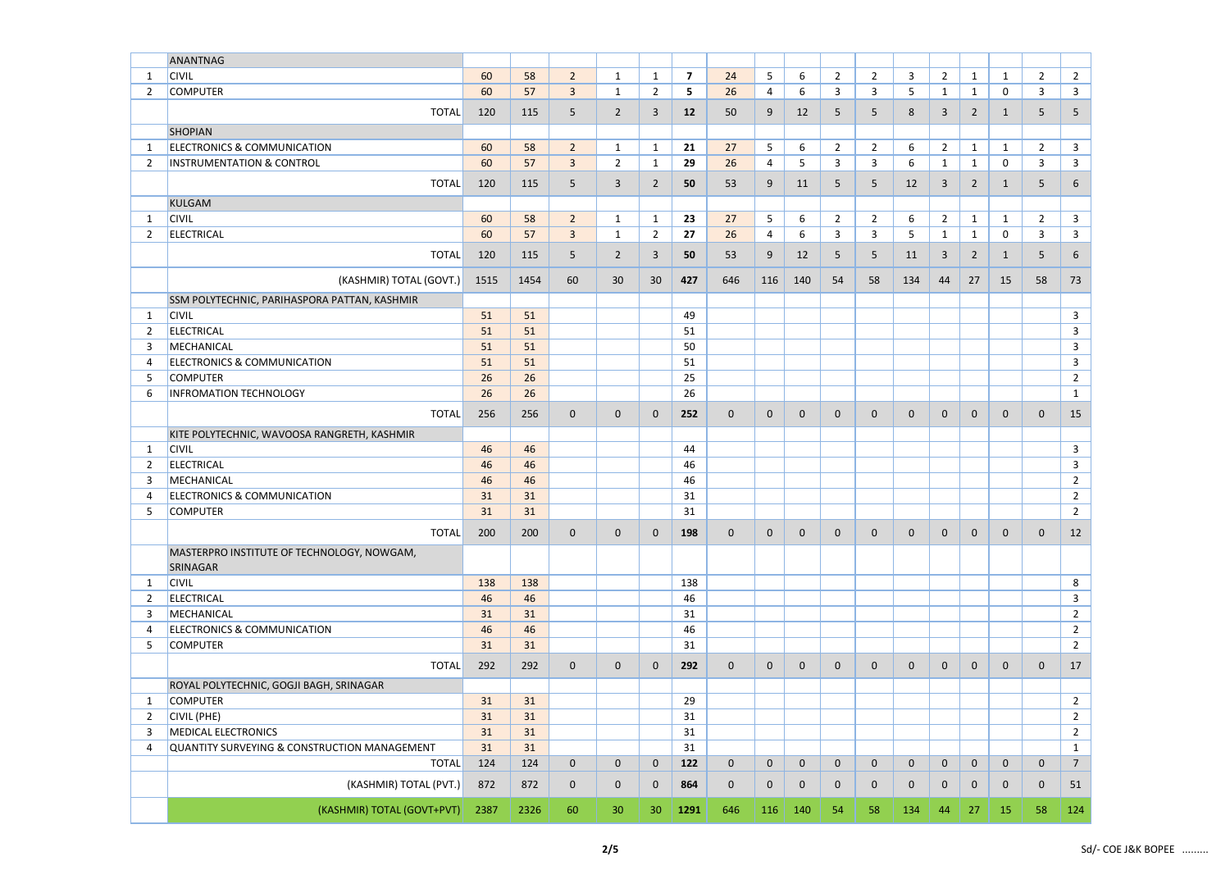|                | ANANTNAG                                     |      |      |                |                |                |                         |             |             |             |                |                |                |                |                |              |                |                |
|----------------|----------------------------------------------|------|------|----------------|----------------|----------------|-------------------------|-------------|-------------|-------------|----------------|----------------|----------------|----------------|----------------|--------------|----------------|----------------|
| -1             | <b>CIVIL</b>                                 | 60   | 58   | $\overline{2}$ | $\mathbf{1}$   | $\mathbf{1}$   | $\overline{\mathbf{z}}$ | 24          | 5           | 6           | $\overline{2}$ | $\overline{2}$ | 3              | $\overline{2}$ | $\mathbf{1}$   | $\mathbf{1}$ | $\overline{2}$ | $\overline{2}$ |
| 2              | <b>COMPUTER</b>                              | 60   | 57   | $\mathbf{3}$   | $\mathbf{1}$   | $2^{\circ}$    | 5                       | 26          | 4           | 6           | 3              | 3              | 5              | $\mathbf{1}$   | $\mathbf{1}$   | $\mathsf{O}$ | 3              | $\mathbf{3}$   |
|                | <b>TOTAL</b>                                 | 120  | 115  | 5              | $\overline{2}$ | 3              | 12                      | 50          | 9           | 12          | 5              | 5              | 8              | $\overline{3}$ | 2              | $\mathbf{1}$ | 5              | 5              |
|                |                                              |      |      |                |                |                |                         |             |             |             |                |                |                |                |                |              |                |                |
|                | <b>SHOPIAN</b>                               |      |      |                |                |                |                         |             |             |             |                |                |                |                |                |              |                |                |
| -1             | <b>ELECTRONICS &amp; COMMUNICATION</b>       | 60   | 58   | $\overline{2}$ | $\mathbf{1}$   | $\mathbf{1}$   | 21                      | 27          | 5           | 6           | $\overline{2}$ | $\overline{2}$ | 6              | $\overline{2}$ | $\mathbf{1}$   | $\mathbf{1}$ | $\overline{2}$ | $\mathbf{3}$   |
| 2              | <b>INSTRUMENTATION &amp; CONTROL</b>         | 60   | 57   | $\mathbf{3}$   | $\overline{2}$ | $\mathbf{1}$   | 29                      | 26          | 4           | 5           | 3              | 3              | 6              | $\mathbf{1}$   | $\mathbf{1}$   | 0            | 3              | $\mathbf{3}$   |
|                | <b>TOTAL</b>                                 | 120  | 115  | 5              | $\mathbf{3}$   | $\overline{2}$ | 50                      | 53          | 9           | 11          | 5              | 5              | 12             | $\overline{3}$ | $\overline{2}$ | $\mathbf{1}$ | 5              | 6              |
|                | <b>KULGAM</b>                                |      |      |                |                |                |                         |             |             |             |                |                |                |                |                |              |                |                |
| -1             | <b>CIVIL</b>                                 | 60   | 58   | $\overline{2}$ | $\mathbf{1}$   | $\mathbf{1}$   | 23                      | 27          | 5           | 6           | $\overline{2}$ | $\overline{2}$ | 6              | $\overline{2}$ | $\mathbf{1}$   | $\mathbf{1}$ | $\overline{2}$ | $\mathbf{3}$   |
| 2              | <b>ELECTRICAL</b>                            | 60   | 57   | $\mathbf{3}$   | $\mathbf{1}$   | $\overline{2}$ | 27                      | 26          | 4           | 6           | 3              | 3              | 5              | $\mathbf{1}$   | $\mathbf{1}$   | 0            | 3              | $\mathbf{3}$   |
|                |                                              |      |      |                |                |                |                         |             |             |             |                |                |                |                |                |              |                |                |
|                | <b>TOTAL</b>                                 | 120  | 115  | 5              | $\overline{2}$ | 3              | 50                      | 53          | 9           | 12          | 5              | 5              | 11             | $\overline{3}$ | $\overline{2}$ | $\mathbf{1}$ | 5              | 6              |
|                | (KASHMIR) TOTAL (GOVT.)                      | 1515 | 1454 | 60             | 30             | 30             | 427                     | 646         | 116         | 140         | 54             | 58             | 134            | 44             | 27             | 15           | 58             | 73             |
|                |                                              |      |      |                |                |                |                         |             |             |             |                |                |                |                |                |              |                |                |
|                | SSM POLYTECHNIC, PARIHASPORA PATTAN, KASHMIR |      |      |                |                |                |                         |             |             |             |                |                |                |                |                |              |                |                |
| $\mathbf{1}$   | <b>CIVIL</b>                                 | 51   | 51   |                |                |                | 49                      |             |             |             |                |                |                |                |                |              |                | $\mathbf{3}$   |
| 2              | <b>ELECTRICAL</b>                            | 51   | 51   |                |                |                | 51                      |             |             |             |                |                |                |                |                |              |                | $\mathbf{3}$   |
| 3              | MECHANICAL                                   | 51   | 51   |                |                |                | 50                      |             |             |             |                |                |                |                |                |              |                | $\mathbf{3}$   |
| 4              | <b>ELECTRONICS &amp; COMMUNICATION</b>       | 51   | 51   |                |                |                | 51                      |             |             |             |                |                |                |                |                |              |                | $\mathbf{3}$   |
| 5              | <b>COMPUTER</b>                              | 26   | 26   |                |                |                | 25                      |             |             |             |                |                |                |                |                |              |                | $\overline{2}$ |
| 6              | <b>INFROMATION TECHNOLOGY</b>                | 26   | 26   |                |                |                | 26                      |             |             |             |                |                |                |                |                |              |                | $\mathbf{1}$   |
|                | <b>TOTAL</b>                                 | 256  | 256  | $\overline{0}$ | $\mathbf{0}$   | $\mathbf{0}$   | 252                     | $\mathbf 0$ | $\mathbf 0$ | $\mathbf 0$ | 0              | $\mathbf 0$    | $\mathbf 0$    | $\mathbf 0$    | $\mathbf 0$    | $\mathbf{0}$ | $\mathbf 0$    | 15             |
|                | KITE POLYTECHNIC, WAVOOSA RANGRETH, KASHMIR  |      |      |                |                |                |                         |             |             |             |                |                |                |                |                |              |                |                |
| $\mathbf 1$    | <b>CIVIL</b>                                 | 46   | 46   |                |                |                | 44                      |             |             |             |                |                |                |                |                |              |                | $\mathbf{3}$   |
| 2              | <b>ELECTRICAL</b>                            | 46   | 46   |                |                |                | 46                      |             |             |             |                |                |                |                |                |              |                | $\overline{3}$ |
| 3              | MECHANICAL                                   | 46   | 46   |                |                |                | 46                      |             |             |             |                |                |                |                |                |              |                | $\overline{2}$ |
| 4              | <b>ELECTRONICS &amp; COMMUNICATION</b>       | 31   | 31   |                |                |                | 31                      |             |             |             |                |                |                |                |                |              |                | $\overline{2}$ |
| 5              | <b>COMPUTER</b>                              | 31   | 31   |                |                |                | 31                      |             |             |             |                |                |                |                |                |              |                | $\overline{2}$ |
|                |                                              |      |      |                |                |                |                         |             |             |             |                |                |                |                |                |              |                |                |
|                | <b>TOTAL</b>                                 | 200  | 200  | $\mathbf 0$    | $\mathbf 0$    | $\mathbf{0}$   | 198                     | $\mathbf 0$ | $\mathbf 0$ | $\mathbf 0$ | $\mathbf{0}$   | $\mathbf 0$    | $\mathbf 0$    | $\overline{0}$ | $\mathbf 0$    | $\mathbf 0$  | $\mathbf{0}$   | 12             |
|                | MASTERPRO INSTITUTE OF TECHNOLOGY, NOWGAM,   |      |      |                |                |                |                         |             |             |             |                |                |                |                |                |              |                |                |
|                | SRINAGAR                                     |      |      |                |                |                |                         |             |             |             |                |                |                |                |                |              |                |                |
| 1              | <b>CIVIL</b>                                 | 138  | 138  |                |                |                | 138                     |             |             |             |                |                |                |                |                |              |                | 8              |
| 2              | <b>ELECTRICAL</b>                            | 46   | 46   |                |                |                | 46                      |             |             |             |                |                |                |                |                |              |                | $\mathbf{3}$   |
| 3              | MECHANICAL                                   | 31   | 31   |                |                |                | 31                      |             |             |             |                |                |                |                |                |              |                | $\overline{2}$ |
| $\overline{4}$ | ELECTRONICS & COMMUNICATION                  | 46   | 46   |                |                |                | 46                      |             |             |             |                |                |                |                |                |              |                | $\overline{2}$ |
| 5              | <b>COMPUTER</b>                              | 31   | 31   |                |                |                | 31                      |             |             |             |                |                |                |                |                |              |                | $\overline{2}$ |
|                | <b>TOTAL</b>                                 | 292  | 292  | $\overline{0}$ | $\mathbf 0$    | $\mathbf{0}$   | 292                     | $\mathbf 0$ | $\mathbf 0$ | $\mathbf 0$ | $\mathbf{0}$   | $\mathbf 0$    | $\overline{0}$ | $\mathbf 0$    | $\mathbf 0$    | 0            | $\mathbf{0}$   | 17             |
|                |                                              |      |      |                |                |                |                         |             |             |             |                |                |                |                |                |              |                |                |
|                | ROYAL POLYTECHNIC, GOGJI BAGH, SRINAGAR      |      |      |                |                |                |                         |             |             |             |                |                |                |                |                |              |                |                |
| -1             | <b>COMPUTER</b>                              | 31   | 31   |                |                |                | 29                      |             |             |             |                |                |                |                |                |              |                | $\overline{2}$ |
| $\overline{2}$ | <b>CIVIL (PHE)</b>                           | 31   | 31   |                |                |                | 31                      |             |             |             |                |                |                |                |                |              |                | $\overline{2}$ |
| 3              | <b>MEDICAL ELECTRONICS</b>                   | 31   | 31   |                |                |                | 31                      |             |             |             |                |                |                |                |                |              |                | $\overline{2}$ |
| 4              | QUANTITY SURVEYING & CONSTRUCTION MANAGEMENT | 31   | 31   |                |                |                | 31                      |             |             |             |                |                |                |                |                |              |                | $\mathbf{1}$   |
|                | <b>TOTAL</b>                                 | 124  | 124  | $\mathbf 0$    | $\mathbf 0$    | $\mathbf 0$    | 122                     | $\mathbf 0$ | $\mathbf 0$ | $\mathbf 0$ | 0              | $\mathbf 0$    | $\mathbf 0$    | $\mathbf 0$    | $\mathbf 0$    | 0            | $\mathbf 0$    | $\overline{7}$ |
|                | (KASHMIR) TOTAL (PVT.)                       | 872  | 872  | $\mathbf 0$    | $\mathbf 0$    | $\mathbf{0}$   | 864                     | $\mathbf 0$ | $\mathbf 0$ | $\mathbf 0$ | $\mathbf{0}$   | $\mathbf{0}$   | $\mathbf 0$    | $\mathbf 0$    | $\mathbf{0}$   | 0            | $\mathbf 0$    | 51             |
|                | (KASHMIR) TOTAL (GOVT+PVT)                   | 2387 | 2326 | 60             | 30             | 30             | 1291                    | 646         | 116         | 140         | 54             | 58             | 134            | 44             | 27             | 15           | 58             | 124            |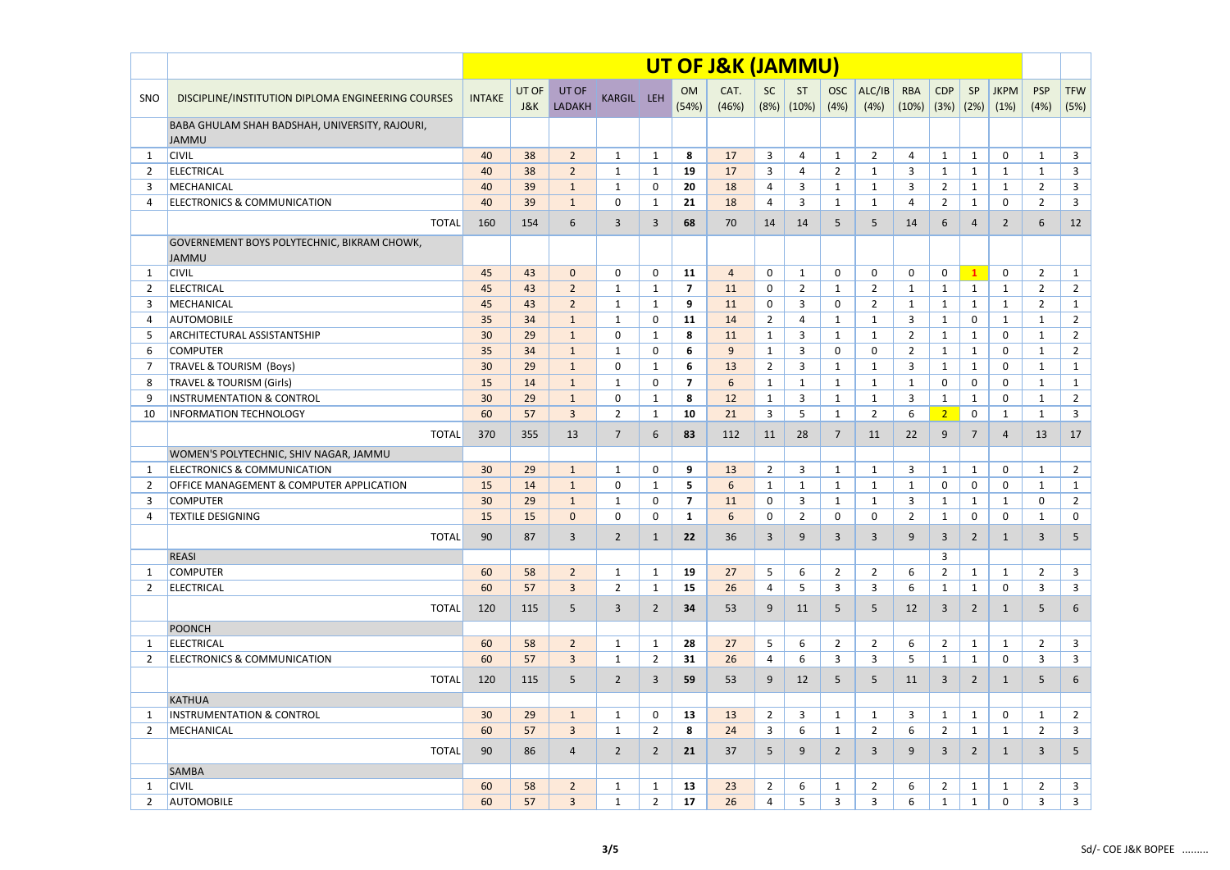|                |                                                                |                 |              |                 |                |                |                         | UT OF J&K (JAMMU) |                |                |                    |                |                     |                    |                |                     |                    |                    |
|----------------|----------------------------------------------------------------|-----------------|--------------|-----------------|----------------|----------------|-------------------------|-------------------|----------------|----------------|--------------------|----------------|---------------------|--------------------|----------------|---------------------|--------------------|--------------------|
| SNO            | DISCIPLINE/INSTITUTION DIPLOMA ENGINEERING COURSES             | <b>INTAKE</b>   | UT OF<br>J&K | UT OF<br>LADAKH | KARGIL LEH     |                | <b>OM</b><br>(54%)      | CAT.<br>(46%)     | SC<br>(8%)     | ST<br>(10%)    | <b>OSC</b><br>(4%) | ALC/IB<br>(4%) | <b>RBA</b><br>(10%) | <b>CDP</b><br>(3%) | SP<br>(2%)     | <b>JKPM</b><br>(1%) | <b>PSP</b><br>(4%) | <b>TFW</b><br>(5%) |
|                | BABA GHULAM SHAH BADSHAH, UNIVERSITY, RAJOURI,<br><b>JAMMU</b> |                 |              |                 |                |                |                         |                   |                |                |                    |                |                     |                    |                |                     |                    |                    |
| -1             | <b>CIVIL</b>                                                   | 40              | 38           | $\overline{2}$  | $\mathbf{1}$   | $\mathbf{1}$   | 8                       | 17                | $\overline{3}$ | $\overline{4}$ | $\mathbf{1}$       | $\overline{2}$ | $\overline{4}$      | $\mathbf{1}$       | $\mathbf{1}$   | 0                   | $\mathbf{1}$       | $\mathbf{3}$       |
| 2              | <b>ELECTRICAL</b>                                              | 40              | 38           | $\overline{2}$  | $\mathbf{1}$   | $\mathbf{1}$   | 19                      | 17                | 3              | 4              | $\overline{2}$     | 1              | 3                   | $\mathbf{1}$       | 1              | $\mathbf{1}$        | $\mathbf{1}$       | $\mathbf{3}$       |
| 3              | MECHANICAL                                                     | 40              | 39           | $\mathbf{1}$    | $\mathbf{1}$   | 0              | 20                      | 18                | 4              | 3              | $\mathbf{1}$       | 1              | 3                   | $\overline{2}$     | $\mathbf{1}$   | $\mathbf{1}$        | $\overline{2}$     | $\mathbf{3}$       |
| 4              | <b>ELECTRONICS &amp; COMMUNICATION</b>                         | 40              | 39           | $\mathbf{1}$    | 0              | $\mathbf{1}$   | 21                      | 18                | 4              | $\overline{3}$ | $\mathbf{1}$       | $\mathbf{1}$   | $\overline{4}$      | $\overline{2}$     | $\mathbf{1}$   | 0                   | $\overline{2}$     | $\mathbf{3}$       |
|                | <b>TOTAL</b>                                                   | 160             | 154          | 6               | $\mathbf{3}$   | 3              | 68                      | 70                | 14             | 14             | 5                  | 5              | 14                  | 6                  | $\overline{4}$ | $\overline{2}$      | 6                  | 12                 |
|                | GOVERNEMENT BOYS POLYTECHNIC, BIKRAM CHOWK,<br><b>JAMMU</b>    |                 |              |                 |                |                |                         |                   |                |                |                    |                |                     |                    |                |                     |                    |                    |
| -1             | <b>CIVIL</b>                                                   | 45              | 43           | $\mathbf{0}$    | 0              | $\mathbf 0$    | 11                      | $\overline{4}$    | 0              | $\mathbf{1}$   | $\mathbf 0$        | 0              | $\mathbf 0$         | $\mathbf 0$        | $\mathbf{1}$   | 0                   | $\overline{2}$     | $\mathbf{1}$       |
| $\overline{2}$ | <b>ELECTRICAL</b>                                              | 45              | 43           | $\overline{2}$  | $\mathbf{1}$   | $\mathbf{1}$   | 7                       | 11                | 0              | $\overline{2}$ | $\mathbf{1}$       | $\overline{2}$ | $\mathbf{1}$        | $\mathbf{1}$       | $\mathbf{1}$   | $\mathbf{1}$        | $\overline{2}$     | $\overline{2}$     |
| 3              | MECHANICAL                                                     | 45              | 43           | $\overline{2}$  | $\mathbf{1}$   | $\mathbf{1}$   | 9                       | 11                | 0              | 3              | $\mathbf{0}$       | $\overline{2}$ | 1                   | $\mathbf{1}$       | $\mathbf 1$    | $\mathbf{1}$        | $\overline{2}$     | $\mathbf{1}$       |
| 4              | <b>AUTOMOBILE</b>                                              | 35              | 34           | $\mathbf{1}$    | $\mathbf{1}$   | 0              | 11                      | 14                | $\overline{2}$ | 4              | $\mathbf{1}$       | 1              | 3                   | $\mathbf{1}$       | 0              | $\mathbf{1}$        | $\mathbf{1}$       | $\overline{2}$     |
| 5              | <b>ARCHITECTURAL ASSISTANTSHIP</b>                             | 30              | 29           | $\mathbf{1}$    | $\Omega$       | $\mathbf{1}$   | 8                       | 11                | 1              | 3              | $\mathbf{1}$       | 1              | $\overline{2}$      | $\mathbf{1}$       | $\mathbf{1}$   | 0                   | $\mathbf{1}$       | $\overline{2}$     |
| 6              | <b>COMPUTER</b>                                                | 35              | 34           | $\mathbf{1}$    | 1              | 0              | 6                       | 9                 | 1              | $\overline{3}$ | $\mathbf{0}$       | 0              | $\overline{2}$      | 1                  | $\mathbf{1}$   | 0                   | $\mathbf{1}$       | $\overline{2}$     |
| 7              | <b>TRAVEL &amp; TOURISM (Boys)</b>                             | 30              | 29           | $\mathbf{1}$    | $\mathbf{0}$   | 1              | 6                       | 13                | $\overline{2}$ | 3              | $\mathbf{1}$       | 1              | 3                   | 1                  | 1              | 0                   | $\mathbf{1}$       | $\mathbf{1}$       |
| 8              | <b>TRAVEL &amp; TOURISM (Girls)</b>                            | 15              | 14           | $\mathbf{1}$    | 1              | $\Omega$       | $\overline{\mathbf{z}}$ | 6                 | $\mathbf{1}$   | $\mathbf{1}$   | $\mathbf{1}$       | $\mathbf{1}$   | $\mathbf{1}$        | $\mathbf 0$        | 0              | 0                   | $\mathbf{1}$       | $\mathbf{1}$       |
| 9              | <b>INSTRUMENTATION &amp; CONTROL</b>                           | 30              | 29           | $\mathbf{1}$    | 0              | $\mathbf{1}$   | 8                       | 12                | $\mathbf{1}$   | $\overline{3}$ | $\mathbf{1}$       | $\mathbf{1}$   | 3                   | $\mathbf{1}$       | $\mathbf{1}$   | 0                   | $\mathbf{1}$       | $\overline{2}$     |
| 10             | <b>INFORMATION TECHNOLOGY</b>                                  | 60              | 57           | $\overline{3}$  | $\overline{2}$ | $\mathbf{1}$   | 10                      | 21                | $\overline{3}$ | 5              | $\mathbf{1}$       | $\overline{2}$ | 6                   | $\overline{2}$     | 0              | $\mathbf{1}$        | $\mathbf{1}$       | $\overline{3}$     |
|                | <b>TOTAL</b>                                                   | 370             | 355          | 13              | $\overline{7}$ | 6              | 83                      | 112               | 11             | 28             | $\overline{7}$     | 11             | 22                  | 9                  | 7              | 4                   | 13                 | 17                 |
|                | WOMEN'S POLYTECHNIC, SHIV NAGAR, JAMMU                         |                 |              |                 |                |                |                         |                   |                |                |                    |                |                     |                    |                |                     |                    |                    |
| -1             | <b>ELECTRONICS &amp; COMMUNICATION</b>                         | 30              | 29           | $\mathbf{1}$    | $\mathbf{1}$   | 0              | 9                       | 13                | $\overline{2}$ | $\overline{3}$ | $\mathbf{1}$       | 1              | 3                   | $\mathbf{1}$       | $\mathbf{1}$   | 0                   | $\mathbf{1}$       | $\overline{2}$     |
| $\overline{2}$ | OFFICE MANAGEMENT & COMPUTER APPLICATION                       | 15              | 14           | $\mathbf{1}$    | 0              | $\mathbf{1}$   | 5                       | 6                 | $\mathbf{1}$   | $\mathbf{1}$   | 1                  | 1              | 1                   | 0                  | 0              | 0                   | $\mathbf{1}$       | $\mathbf{1}$       |
| 3              | <b>COMPUTER</b>                                                | 30              | 29           | $\mathbf{1}$    | $\mathbf{1}$   | 0              | 7                       | 11                | 0              | 3              | $\mathbf{1}$       | 1              | 3                   | $\mathbf{1}$       | 1              | $\mathbf{1}$        | 0                  | $\overline{2}$     |
| 4              | <b>TEXTILE DESIGNING</b>                                       | 15              | 15           | $\mathbf{0}$    | 0              | 0              | $\mathbf{1}$            | 6                 | 0              | $\overline{2}$ | 0                  | 0              | 2                   | $\mathbf{1}$       | 0              | 0                   | 1                  | 0                  |
|                | <b>TOTAL</b>                                                   | 90              | 87           | $\mathbf{3}$    | $\overline{2}$ | $\mathbf{1}$   | 22                      | 36                | 3              | 9              | 3                  | $\mathbf{3}$   | 9                   | $\overline{3}$     | $\overline{2}$ | $\mathbf{1}$        | 3                  | 5 <sup>5</sup>     |
|                | <b>REASI</b>                                                   |                 |              |                 |                |                |                         |                   |                |                |                    |                |                     | $\overline{3}$     |                |                     |                    |                    |
| -1             | <b>COMPUTER</b>                                                | 60              | 58           | $\overline{2}$  | $\mathbf{1}$   | $\mathbf{1}$   | 19                      | 27                | 5              | 6              | $\overline{2}$     | $\overline{2}$ | 6                   | $\overline{2}$     | $\mathbf{1}$   | $\mathbf{1}$        | $2^{\circ}$        | $\mathbf{3}$       |
| 2              | <b>ELECTRICAL</b>                                              | 60              | 57           | $\mathbf{3}$    | $\overline{2}$ | $\mathbf{1}$   | 15                      | 26                | 4              | 5              | $\mathbf{3}$       | 3              | 6                   | $\mathbf{1}$       | $\mathbf{1}$   | 0                   | 3                  | $\mathbf{3}$       |
|                | <b>TOTAL</b>                                                   | 120             | 115          | 5               | 3              | $\overline{2}$ | 34                      | 53                | 9              | 11             | 5                  | 5              | 12                  | $\overline{3}$     | $\overline{2}$ | $\mathbf{1}$        | 5                  | 6                  |
|                | POONCH                                                         |                 |              |                 |                |                |                         |                   |                |                |                    |                |                     |                    |                |                     |                    |                    |
| -1             | ELECTRICAL                                                     | 60              | 58           | $\overline{2}$  | $\mathbf{1}$   | $\mathbf{1}$   | 28                      | 27                | 5              | 6              | $\overline{2}$     | $\overline{2}$ | 6                   | $\overline{2}$     | $\mathbf{1}$   | $\mathbf{1}$        | $2^{\circ}$        | $\overline{3}$     |
| -2             | <b>ELECTRONICS &amp; COMMUNICATION</b>                         | 60              | 57           | $\mathbf{3}$    | $\mathbf{1}$   | $\mathbf{2}$   | 31                      | 26                | 4              | 6              | 3                  | 3              | 5                   | $\mathbf{1}$       | 1              | 0                   | 3                  | $\mathbf{3}$       |
|                | <b>TOTAL</b>                                                   | 120             | 115          | 5 <sub>o</sub>  | $\overline{2}$ | 3              | 59                      | 53                | 9              | 12             | 5                  | 5              | 11                  | $\overline{3}$     | $\overline{2}$ | $\mathbf{1}$        | 5                  | 6                  |
|                | <b>KATHUA</b>                                                  |                 |              |                 |                |                |                         |                   |                |                |                    |                |                     |                    |                |                     |                    |                    |
| -1             | <b>INSTRUMENTATION &amp; CONTROL</b>                           | 30 <sup>°</sup> | 29           | $\mathbf{1}$    | $\mathbf{1}$   | 0              | 13                      | 13                | $\overline{2}$ | 3              | $\mathbf{1}$       | $\mathbf{1}$   | 3                   | $\mathbf{1}$       | $\mathbf{1}$   | $\mathbf 0$         | $\mathbf{1}$       | $\overline{2}$     |
| 2              | MECHANICAL                                                     | 60              | 57           | $\mathbf{3}$    | $\mathbf{1}$   | $2^{\circ}$    | 8                       | 24                | 3              | 6              | $\mathbf{1}$       | $\overline{2}$ | 6                   | $\overline{2}$     | $\mathbf{1}$   | $\mathbf{1}$        | $\overline{2}$     | $\mathbf{3}$       |
|                | <b>TOTAL</b>                                                   | 90              | 86           | $\overline{4}$  | $\overline{2}$ | $\overline{2}$ | 21                      | 37                | 5              | 9              | $2^{\circ}$        | $\mathbf{3}$   | 9                   | $\overline{3}$     | $\overline{2}$ | $\mathbf{1}$        | 3                  | 5                  |
|                | <b>SAMBA</b>                                                   |                 |              |                 |                |                |                         |                   |                |                |                    |                |                     |                    |                |                     |                    |                    |
| -1             | <b>CIVIL</b>                                                   | 60              | 58           | $\overline{2}$  | $\mathbf{1}$   | $\mathbf{1}$   | 13                      | 23                | $\overline{2}$ | 6              | $\mathbf{1}$       | $\overline{2}$ | 6                   | $\overline{2}$     | $\mathbf{1}$   | $\mathbf{1}$        | $\overline{2}$     | $\mathbf{3}$       |
| 2              | <b>AUTOMOBILE</b>                                              | 60              | 57           | $\mathbf{3}$    | $\mathbf{1}$   | $\overline{2}$ | 17                      | 26                | 4              | 5              | 3                  | $\mathbf{3}$   | 6                   | $\mathbf{1}$       | 1              | 0                   | 3                  | $\mathbf{3}$       |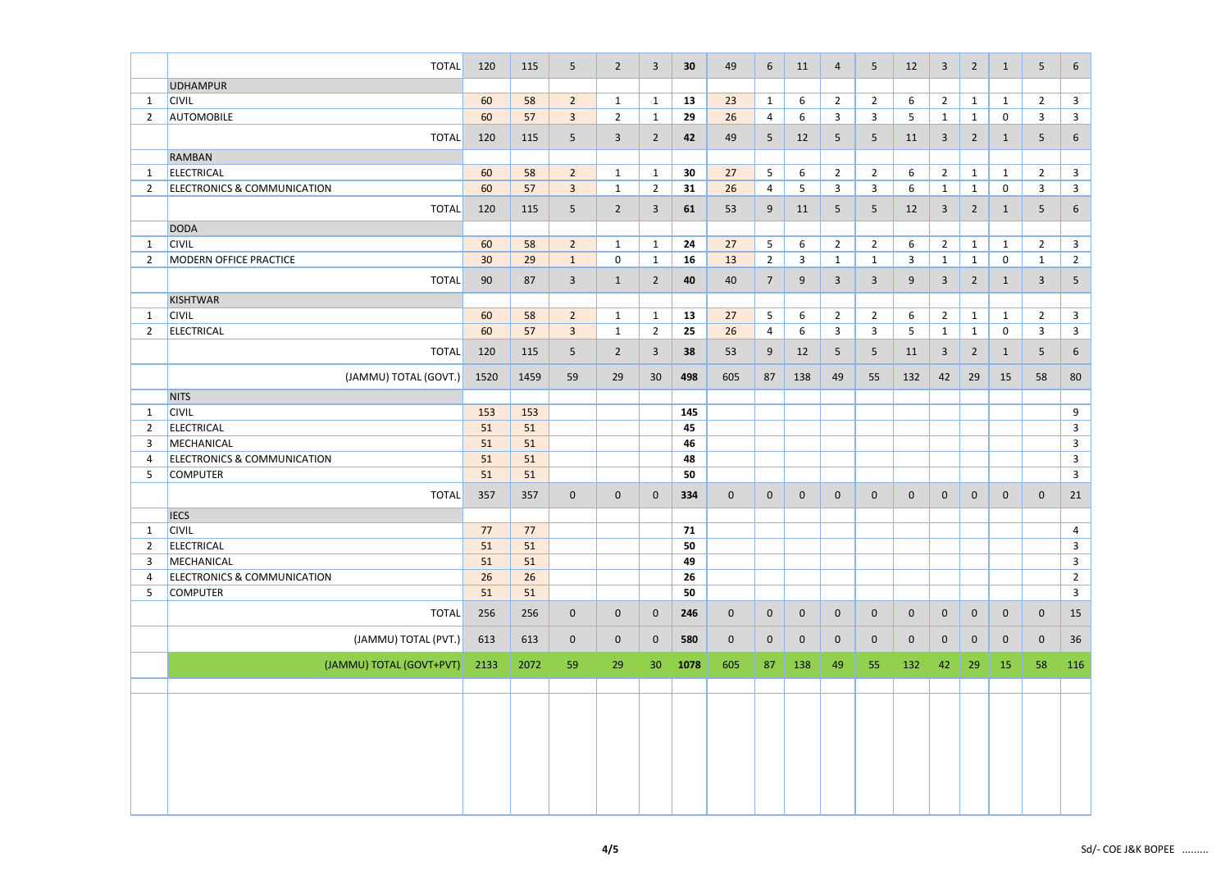|                | <b>TOTAL</b>                              | 120      | 115      | 5 <sup>5</sup> | $\overline{2}$ | $\overline{3}$  | 30       | 49             | 6              | 11             | $\overline{4}$ | 5              | 12          | $\overline{3}$ | $\overline{2}$ | 1              | 5              | $6\overline{6}$                |
|----------------|-------------------------------------------|----------|----------|----------------|----------------|-----------------|----------|----------------|----------------|----------------|----------------|----------------|-------------|----------------|----------------|----------------|----------------|--------------------------------|
|                | <b>UDHAMPUR</b>                           |          |          |                |                |                 |          |                |                |                |                |                |             |                |                |                |                |                                |
| $\mathbf{1}$   | <b>CIVIL</b>                              | 60       | 58       | $2^{\circ}$    | $\mathbf{1}$   | $\mathbf{1}$    | 13       | 23             | $\mathbf{1}$   | 6              | $\overline{2}$ | $\overline{2}$ | 6           | $\overline{2}$ | $\mathbf{1}$   | $\mathbf{1}$   | $\overline{2}$ | $\mathbf{3}$                   |
| $\overline{2}$ | <b>AUTOMOBILE</b>                         | 60       | 57       | $\mathbf{3}$   | $\overline{2}$ | $\mathbf{1}$    | 29       | 26             | 4              | 6              | $\mathbf{3}$   | 3              | 5           | $\mathbf{1}$   | $\mathbf{1}$   | $\mathbf 0$    | 3              | $\mathbf{3}$                   |
|                | <b>TOTAL</b>                              | 120      | 115      | $5\phantom{.}$ | $\mathbf{3}$   | $\overline{2}$  | 42       | 49             | 5              | 12             | 5              | 5              | 11          | $\overline{3}$ | $\overline{2}$ | $\mathbf{1}$   | 5              | 6                              |
|                |                                           |          |          |                |                |                 |          |                |                |                |                |                |             |                |                |                |                |                                |
|                | <b>RAMBAN</b>                             |          |          |                |                |                 |          |                |                |                |                |                |             |                |                |                |                |                                |
| $\mathbf 1$    | ELECTRICAL                                | 60       | 58       | $\overline{2}$ | $\mathbf{1}$   | $\mathbf{1}$    | 30       | 27             | 5              | 6              | $\overline{2}$ | $\overline{2}$ | 6           | $\overline{2}$ | $\mathbf{1}$   | $\mathbf{1}$   | $\overline{2}$ | $\mathbf{3}$                   |
| $\overline{2}$ | <b>ELECTRONICS &amp; COMMUNICATION</b>    | 60       | 57       | $\mathbf{3}$   | $\mathbf{1}$   | $\overline{2}$  | 31       | 26             | 4              | 5              | 3              | 3              | 6           | $\mathbf{1}$   | $\mathbf{1}$   | $\mathbf 0$    | $\overline{3}$ | $\mathbf{3}$                   |
|                | <b>TOTAL</b>                              | 120      | 115      | 5 <sub>5</sub> | $\overline{2}$ | 3               | 61       | 53             | 9              | 11             | 5              | 5              | 12          | $\overline{3}$ | $\overline{2}$ | $\mathbf{1}$   | 5              | 6                              |
|                | <b>DODA</b>                               |          |          |                |                |                 |          |                |                |                |                |                |             |                |                |                |                |                                |
| $\mathbf{1}$   | <b>CIVIL</b>                              | 60       | 58       | $2^{\circ}$    | $\mathbf{1}$   | $\mathbf{1}$    | 24       | 27             | 5              | 6              | $\overline{2}$ | $\overline{2}$ | 6           | $\overline{2}$ | $\mathbf{1}$   | $\mathbf{1}$   | $\overline{2}$ | $\mathbf{3}$                   |
| 2              | <b>MODERN OFFICE PRACTICE</b>             | 30       | 29       | $\mathbf{1}$   | 0              | $\mathbf{1}$    | 16       | 13             | $\overline{2}$ | $\mathbf{3}$   | $\mathbf{1}$   | $\mathbf{1}$   | 3           | $\mathbf{1}$   | $\mathbf{1}$   | $\mathbf 0$    | $\mathbf{1}$   | $\overline{2}$                 |
|                | <b>TOTAL</b>                              | 90       | 87       | $\mathbf{3}$   | $\mathbf{1}$   | $\overline{2}$  | 40       | 40             | 7              | 9              | $\mathbf{3}$   | $\overline{3}$ | 9           | $\overline{3}$ | $\overline{2}$ | $\mathbf{1}$   | $\overline{3}$ | 5 <sub>5</sub>                 |
|                | <b>KISHTWAR</b>                           |          |          |                |                |                 |          |                |                |                |                |                |             |                |                |                |                |                                |
| $\mathbf{1}$   | <b>CIVIL</b>                              | 60       | 58       | $\overline{2}$ | $\mathbf{1}$   | $\mathbf{1}$    | 13       | 27             | 5              | 6              | $\overline{2}$ | $\overline{2}$ | 6           | $\overline{2}$ | $\mathbf{1}$   | $\mathbf{1}$   | $\overline{2}$ | $\mathbf{3}$                   |
| $\overline{2}$ | <b>ELECTRICAL</b>                         | 60       | 57       | $\mathbf{3}$   | $\mathbf{1}$   | $\overline{2}$  | 25       | 26             | 4              | 6              | 3              | 3              | 5           | $\mathbf{1}$   | $\mathbf{1}$   | $\mathbf 0$    | 3              | $\mathbf{3}$                   |
|                |                                           |          |          |                |                |                 |          |                |                |                |                |                |             |                |                |                |                |                                |
|                | <b>TOTAL</b>                              | 120      | 115      | 5 <sub>1</sub> | $\overline{2}$ | 3               | 38       | 53             | 9              | 12             | 5              | 5              | 11          | $\overline{3}$ | $\overline{2}$ | $\mathbf{1}$   | 5              | $6\overline{6}$                |
|                | (JAMMU) TOTAL (GOVT.)                     | 1520     | 1459     | 59             | 29             | 30              | 498      | 605            | 87             | 138            | 49             | 55             | 132         | 42             | 29             | 15             | 58             | 80                             |
|                | <b>NITS</b>                               |          |          |                |                |                 |          |                |                |                |                |                |             |                |                |                |                |                                |
| $\mathbf{1}$   | <b>CIVIL</b>                              | 153      | 153      |                |                |                 | 145      |                |                |                |                |                |             |                |                |                |                | $\boldsymbol{9}$               |
| $\overline{2}$ | <b>ELECTRICAL</b>                         | 51       | 51       |                |                |                 | 45       |                |                |                |                |                |             |                |                |                |                | $\mathbf{3}$                   |
| 3              | MECHANICAL                                | 51       | 51       |                |                |                 | 46       |                |                |                |                |                |             |                |                |                |                | $\mathbf{3}$                   |
| 4              | <b>ELECTRONICS &amp; COMMUNICATION</b>    | 51       | 51       |                |                |                 | 48       |                |                |                |                |                |             |                |                |                |                | $\mathbf{3}$                   |
| 5              | <b>COMPUTER</b>                           | 51       | 51       |                |                |                 | 50       |                |                |                |                |                |             |                |                |                |                | $\mathbf{3}$                   |
|                | <b>TOTAL</b>                              | 357      | 357      | $\mathbf{0}$   | $\mathbf 0$    | $\mathbf{0}$    | 334      | $\mathbf 0$    | $\mathbf 0$    | $\mathbf 0$    | $\mathbf 0$    | $\mathbf 0$    | $\mathbf 0$ | $\mathbf 0$    | 0              | 0              | $\mathbf 0$    | 21                             |
|                |                                           |          |          |                |                |                 |          |                |                |                |                |                |             |                |                |                |                |                                |
|                | <b>IECS</b>                               |          |          |                |                |                 |          |                |                |                |                |                |             |                |                |                |                |                                |
| $\mathbf 1$    | <b>CIVIL</b><br>ELECTRICAL                | 77       | 77       |                |                |                 | 71       |                |                |                |                |                |             |                |                |                |                | 4                              |
| $\overline{2}$ |                                           | 51       | 51<br>51 |                |                |                 | 50<br>49 |                |                |                |                |                |             |                |                |                |                | $\mathbf{3}$                   |
| 3<br>4         | MECHANICAL<br>ELECTRONICS & COMMUNICATION | 51<br>26 | 26       |                |                |                 | 26       |                |                |                |                |                |             |                |                |                |                | $\mathbf{3}$<br>$\overline{2}$ |
| -5             | <b>COMPUTER</b>                           | 51       | 51       |                |                |                 | 50       |                |                |                |                |                |             |                |                |                |                | $\mathbf{3}$                   |
|                |                                           |          |          |                |                |                 |          |                |                |                |                |                |             |                |                |                |                |                                |
|                | <b>TOTAL</b>                              | 256      | 256      | $\overline{0}$ | $\mathbf 0$    | $\mathbf 0$     | 246      | $\mathbf{0}$   | $\mathbf 0$    | $\overline{0}$ | $\mathbf 0$    | $\mathbf 0$    | $\mathbf 0$ | $\overline{0}$ | $\mathbf 0$    | $\overline{0}$ | $\overline{0}$ | 15                             |
|                | (JAMMU) TOTAL (PVT.)                      | 613      | 613      | $\overline{0}$ | $\overline{0}$ | $\mathbf 0$     | 580      | $\overline{0}$ | $\mathbf 0$    | $\overline{0}$ | $\overline{0}$ | $\mathbf 0$    | $\mathbf 0$ | $\mathbf{0}$   | $\mathbf 0$    | $\mathbf{0}$   | $\mathbf 0$    | 36                             |
|                | (JAMMU) TOTAL (GOVT+PVT)                  | 2133     | 2072     | 59             | 29             | 30 <sub>2</sub> | 1078     | 605            | 87             | 138            | 49             | 55             | 132         | 42             | 29             | 15             | 58             | 116                            |
|                |                                           |          |          |                |                |                 |          |                |                |                |                |                |             |                |                |                |                |                                |
|                |                                           |          |          |                |                |                 |          |                |                |                |                |                |             |                |                |                |                |                                |
|                |                                           |          |          |                |                |                 |          |                |                |                |                |                |             |                |                |                |                |                                |
|                |                                           |          |          |                |                |                 |          |                |                |                |                |                |             |                |                |                |                |                                |
|                |                                           |          |          |                |                |                 |          |                |                |                |                |                |             |                |                |                |                |                                |
|                |                                           |          |          |                |                |                 |          |                |                |                |                |                |             |                |                |                |                |                                |
|                |                                           |          |          |                |                |                 |          |                |                |                |                |                |             |                |                |                |                |                                |
|                |                                           |          |          |                |                |                 |          |                |                |                |                |                |             |                |                |                |                |                                |
|                |                                           |          |          |                |                |                 |          |                |                |                |                |                |             |                |                |                |                |                                |